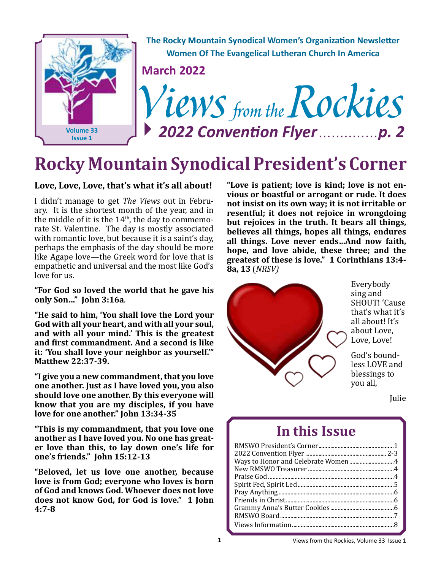

### **Rocky Mountain Synodical President's Corner**

#### **Love, Love, Love, that's what it's all about!**

I didn't manage to get *The Views* out in February. It is the shortest month of the year, and in the middle of it is the  $14<sup>th</sup>$ , the day to commemorate St. Valentine. The day is mostly associated with romantic love, but because it is a saint's day, perhaps the emphasis of the day should be more like Agape love—the Greek word for love that is empathetic and universal and the most like God's love for us.

**"For God so loved the world that he gave his only Son…" John 3:16a**.

**"He said to him, 'You shall love the Lord your God with all your heart, and with all your soul, and with all your mind.' This is the greatest and first commandment. And a second is like it: 'You shall love your neighbor as yourself.'" Matthew 22:37-39.**

**"I give you a new commandment, that you love one another. Just as I have loved you, you also should love one another. By this everyone will know that you are my disciples, if you have love for one another." John 13:34-35**

**"This is my commandment, that you love one another as I have loved you. No one has greater love than this, to lay down one's life for one's friends." John 15:12-13**

**"Beloved, let us love one another, because love is from God; everyone who loves is born of God and knows God. Whoever does not love does not know God, for God is love." 1 John 4:7-8**

**"Love is patient; love is kind; love is not envious or boastful or arrogant or rude. It does not insist on its own way; it is not irritable or resentful; it does not rejoice in wrongdoing but rejoices in the truth. It bears all things, believes all things, hopes all things, endures all things. Love never ends…And now faith, hope, and love abide, these three; and the greatest of these is love." 1 Corinthians 13:4- 8a, 13** (*NRSV)*



Everybody sing and SHOUT! 'Cause that's what it's all about! It's about Love, Love, Love!

God's boundless LOVE and blessings to you all,

Julie

### **In this Issue**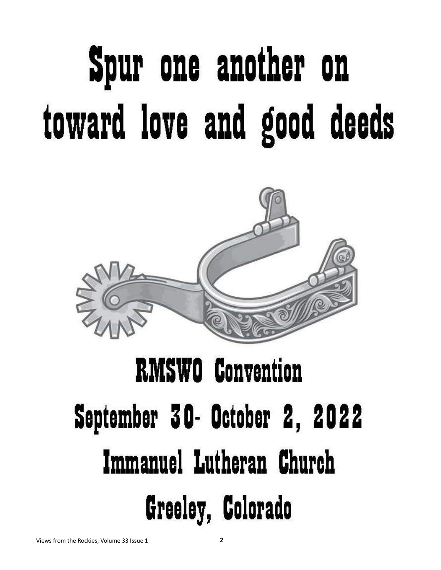# Spur one another on toward love and good deeds



# **RMSWO Convention** September 30- October 2, 2022 Immanuel Lutheran Church Greeley, Colorado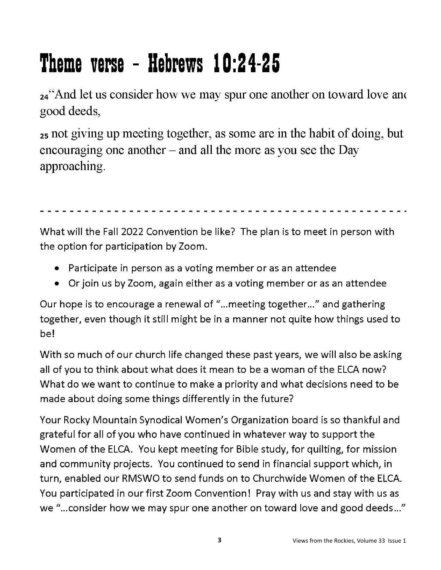# Theme verse - Hebrews  $10:24-25$

<sub>24</sub> And let us consider how we may spur one another on toward love and good deeds,

25 not giving up meeting together, as some are in the habit of doing, but encouraging one another – and all the more as you see the Day approaching.

What will the Fall 2022 Convention be like? The plan is to meet in person with the option for participation by Zoom.

- Participate in person as a voting member or as an attendee
- Or join us by Zoom, again either as a voting member or as an attendee

Our hope is to encourage a renewal of "...meeting together..." and gathering together, even though it still might be in a manner not quite how things used to be!

With so much of our church life changed these past years, we will also be asking all of you to think about what does it mean to be a woman of the ELCA now? What do we want to continue to make a priority and what decisions need to be made about doing some things differently in the future?

Your Rocky Mountain Synodical Women's Organization board is so thankful and grateful for all of you who have continued in whatever way to support the Women of the ELCA. You kept meeting for Bible study, for quilting, for mission and community projects. You continued to send in financial support which, in turn, enabled our RMSWO to send funds on to Churchwide Women of the ELCA. You participated in our first Zoom Convention! Pray with us and stay with us as we "...consider how we may spur one another on toward love and good deeds..."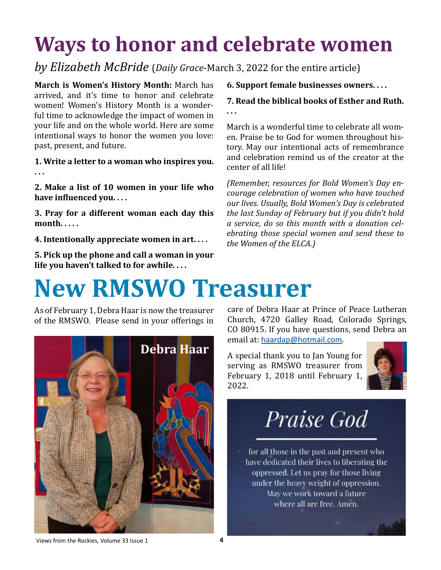### **Ways to honor and celebrate women**

### *by Elizabeth McBride* (*Daily Grace*-March 3, 2022 for the entire article)

**March is Women's History Month:** March has arrived, and it's time to honor and celebrate women! Women's History Month is a wonderful time to acknowledge the impact of women in your life and on the whole world. Here are some intentional ways to honor the women you love: past, present, and future.

**1. Write a letter to a woman who inspires you. . . .** 

**2. Make a list of 10 women in your life who have influenced you. . . .**

**3. Pray for a different woman each day this month. . . . .**

**4. Intentionally appreciate women in art. . . .**

**5. Pick up the phone and call a woman in your life you haven't talked to for awhile. . . .** 

#### **6. Support female businesses owners. . . .**

#### **7. Read the biblical books of Esther and Ruth. . . .**

March is a wonderful time to celebrate all women. Praise be to God for women throughout history. May our intentional acts of remembrance and celebration remind us of the creator at the center of all life!

*(Remember, resources for Bold Women's Day encourage celebration of women who have touched our lives. Usually, Bold Women's Day is celebrated the last Sunday of February but if you didn't hold a service, do so this month with a donation celebrating those special women and send these to the Women of the ELCA.)*

# **New RMSWO Treasurer**

As of February 1, Debra Haar is now the treasurer of the RMSWO. Please send in your offerings in



care of Debra Haar at Prince of Peace Lutheran Church, 4720 Galley Road, Colorado Springs, CO 80915. If you have questions, send Debra an email at: haardap@hotmail.com.

A special thank you to Jan Young for serving as RMSWO treasurer from February 1, 2018 until February 1, 2022.



### Praise God

for all those in the past and present who have dedicated their lives to liberating the oppressed. Let us pray for those living under the heavy weight of oppression. May we work toward a future where all are free. Amen.

Views from the Rockies, Volume 33 Issue 1 **4**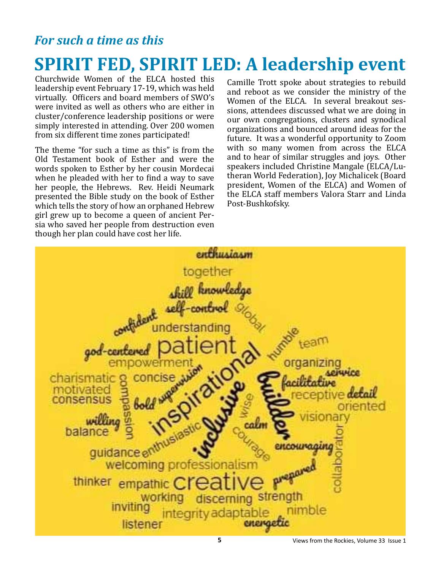### *For such a time as this*

### **SPIRIT FED, SPIRIT LED: A leadership event**

Churchwide Women of the ELCA hosted this leadership event February 17-19, which was held virtually. Officers and board members of SWO's were invited as well as others who are either in cluster/conference leadership positions or were simply interested in attending. Over 200 women from six different time zones participated!

The theme "for such a time as this" is from the Old Testament book of Esther and were the words spoken to Esther by her cousin Mordecai when he pleaded with her to find a way to save her people, the Hebrews. Rev. Heidi Neumark presented the Bible study on the book of Esther which tells the story of how an orphaned Hebrew girl grew up to become a queen of ancient Persia who saved her people from destruction even though her plan could have cost her life.

Camille Trott spoke about strategies to rebuild and reboot as we consider the ministry of the Women of the ELCA. In several breakout sessions, attendees discussed what we are doing in our own congregations, clusters and synodical organizations and bounced around ideas for the future. It was a wonderful opportunity to Zoom with so many women from across the ELCA and to hear of similar struggles and joys. Other speakers included Christine Mangale (ELCA/Lutheran World Federation), Joy Michalicek (Board president, Women of the ELCA) and Women of the ELCA staff members Valora Starr and Linda Post-Bushkofsky.

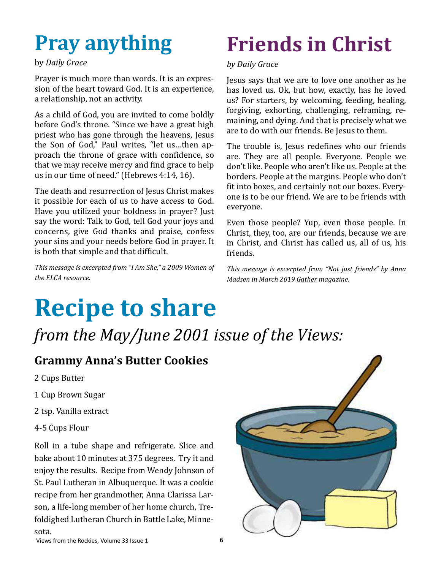## **Pray anything**

#### by *Daily Grace*

Prayer is much more than words. It is an expression of the heart toward God. It is an experience, a relationship, not an activity.

As a child of God, you are invited to come boldly before God's throne. "Since we have a great high priest who has gone through the heavens, Jesus the Son of God," Paul writes, "let us…then approach the throne of grace with confidence, so that we may receive mercy and find grace to help us in our time of need." (Hebrews 4:14, 16).

The death and resurrection of Jesus Christ makes it possible for each of us to have access to God. Have you utilized your boldness in prayer? Just say the word: Talk to God, tell God your joys and concerns, give God thanks and praise, confess your sins and your needs before God in prayer. It is both that simple and that difficult.

*This message is excerpted from "I Am She," a 2009 Women of the ELCA resource.*

## **Friends in Christ**

#### *by Daily Grace*

Jesus says that we are to love one another as he has loved us. Ok, but how, exactly, has he loved us? For starters, by welcoming, feeding, healing, forgiving, exhorting, challenging, reframing, remaining, and dying. And that is precisely what we are to do with our friends. Be Jesus to them.

The trouble is, Jesus redefines who our friends are. They are all people. Everyone. People we don't like. People who aren't like us. People at the borders. People at the margins. People who don't fit into boxes, and certainly not our boxes. Everyone is to be our friend. We are to be friends with everyone.

Even those people? Yup, even those people. In Christ, they, too, are our friends, because we are in Christ, and Christ has called us, all of us, his friends.

*This message is excerpted from "Not just friends" by Anna Madsen in March 2019 Gather magazine.* 

# **Recipe to share**

### *from the May/June 2001 issue of the Views:*

### **Grammy Anna's Butter Cookies**

2 Cups Butter

- 1 Cup Brown Sugar
- 2 tsp. Vanilla extract
- 4-5 Cups Flour

Roll in a tube shape and refrigerate. Slice and bake about 10 minutes at 375 degrees. Try it and enjoy the results. Recipe from Wendy Johnson of St. Paul Lutheran in Albuquerque. It was a cookie recipe from her grandmother, Anna Clarissa Larson, a life-long member of her home church, Trefoldighed Lutheran Church in Battle Lake, Minnesota.

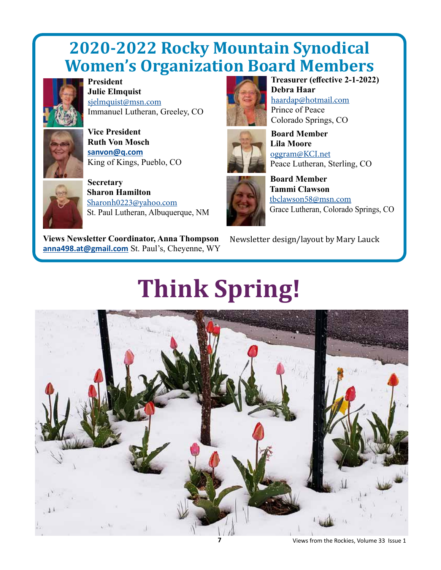### **Treasurer (effective 2-1-2022) 2020-2022 Rocky Mountain Synodical Women's Organization Board Members**



**President Julie Elmquist**  sjelmquist@msn.com Immanuel Lutheran, Greeley, CO



**Vice President Ruth Von Mosch sanvon@q.com** King of Kings, Pueblo, CO



**Secretary Sharon Hamilton** Sharonh0223@yahoo.com St. Paul Lutheran, Albuquerque, NM

**Views Newsletter Coordinator, Anna Thompson** Newsletter design/layout by Mary Lauck **anna498.at@gmail.com** St. Paul's, Cheyenne, WY





**Debra Haar** haardap@hotmail.com Prince of Peace Colorado Springs, CO

**Board Member Lila Moore** oggram@KCI.net Peace Lutheran, Sterling, CO



**Board Member Tammi Clawson** tbclawson58@msn.com Grace Lutheran, Colorado Springs, CO

# **Think Spring!**